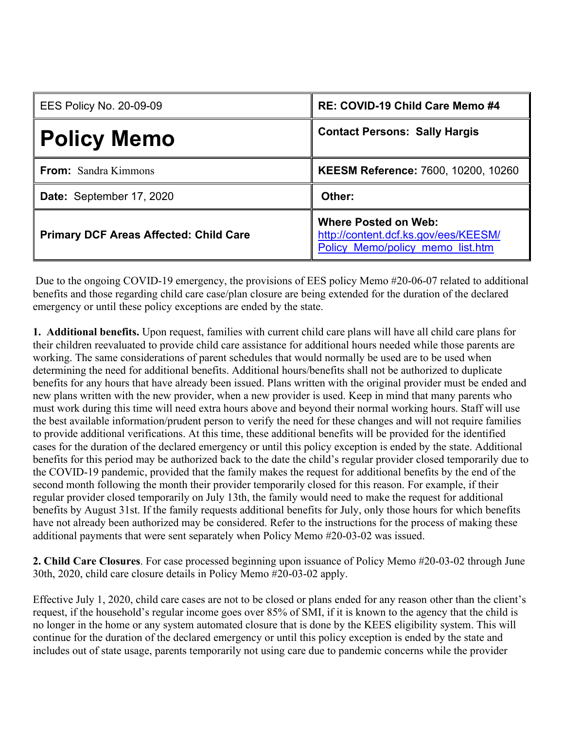| <b>EES Policy No. 20-09-09</b>                | RE: COVID-19 Child Care Memo #4                                                                         |
|-----------------------------------------------|---------------------------------------------------------------------------------------------------------|
| <b>Policy Memo</b>                            | <b>Contact Persons: Sally Hargis</b>                                                                    |
| <b>From:</b> Sandra Kimmons                   | KEESM Reference: 7600, 10200, 10260                                                                     |
| Date: September 17, 2020                      | Other:                                                                                                  |
| <b>Primary DCF Areas Affected: Child Care</b> | <b>Where Posted on Web:</b><br>http://content.dcf.ks.gov/ees/KEESM/<br>Policy Memo/policy memo list.htm |

Due to the ongoing COVID-19 emergency, the provisions of EES policy Memo #20-06-07 related to additional benefits and those regarding child care case/plan closure are being extended for the duration of the declared emergency or until these policy exceptions are ended by the state.

**1. Additional benefits.** Upon request, families with current child care plans will have all child care plans for their children reevaluated to provide child care assistance for additional hours needed while those parents are working. The same considerations of parent schedules that would normally be used are to be used when determining the need for additional benefits. Additional hours/benefits shall not be authorized to duplicate benefits for any hours that have already been issued. Plans written with the original provider must be ended and new plans written with the new provider, when a new provider is used. Keep in mind that many parents who must work during this time will need extra hours above and beyond their normal working hours. Staff will use the best available information/prudent person to verify the need for these changes and will not require families to provide additional verifications. At this time, these additional benefits will be provided for the identified cases for the duration of the declared emergency or until this policy exception is ended by the state. Additional benefits for this period may be authorized back to the date the child's regular provider closed temporarily due to the COVID-19 pandemic, provided that the family makes the request for additional benefits by the end of the second month following the month their provider temporarily closed for this reason. For example, if their regular provider closed temporarily on July 13th, the family would need to make the request for additional benefits by August 31st. If the family requests additional benefits for July, only those hours for which benefits have not already been authorized may be considered. Refer to the instructions for the process of making these additional payments that were sent separately when Policy Memo #20-03-02 was issued.

**2. Child Care Closures**. For case processed beginning upon issuance of Policy Memo #20-03-02 through June 30th, 2020, child care closure details in Policy Memo #20-03-02 apply.

Effective July 1, 2020, child care cases are not to be closed or plans ended for any reason other than the client's request, if the household's regular income goes over 85% of SMI, if it is known to the agency that the child is no longer in the home or any system automated closure that is done by the KEES eligibility system. This will continue for the duration of the declared emergency or until this policy exception is ended by the state and includes out of state usage, parents temporarily not using care due to pandemic concerns while the provider